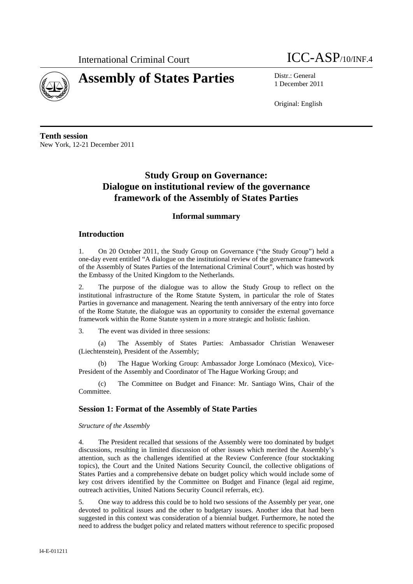



1 December 2011

Original: English

**Tenth session**  New York, 12-21 December 2011

# **Study Group on Governance: Dialogue on institutional review of the governance framework of the Assembly of States Parties**

# **Informal summary**

## **Introduction**

1. On 20 October 2011, the Study Group on Governance ("the Study Group") held a one-day event entitled "A dialogue on the institutional review of the governance framework of the Assembly of States Parties of the International Criminal Court", which was hosted by the Embassy of the United Kingdom to the Netherlands.

2. The purpose of the dialogue was to allow the Study Group to reflect on the institutional infrastructure of the Rome Statute System, in particular the role of States Parties in governance and management. Nearing the tenth anniversary of the entry into force of the Rome Statute, the dialogue was an opportunity to consider the external governance framework within the Rome Statute system in a more strategic and holistic fashion.

3. The event was divided in three sessions:

(a) The Assembly of States Parties: Ambassador Christian Wenaweser (Liechtenstein), President of the Assembly;

(b) The Hague Working Group: Ambassador Jorge Lomónaco (Mexico), Vice-President of the Assembly and Coordinator of The Hague Working Group; and

(c) The Committee on Budget and Finance: Mr. Santiago Wins, Chair of the Committee.

## **Session 1: Format of the Assembly of State Parties**

*Structure of the Assembly* 

4. The President recalled that sessions of the Assembly were too dominated by budget discussions, resulting in limited discussion of other issues which merited the Assembly's attention, such as the challenges identified at the Review Conference (four stocktaking topics), the Court and the United Nations Security Council, the collective obligations of States Parties and a comprehensive debate on budget policy which would include some of key cost drivers identified by the Committee on Budget and Finance (legal aid regime, outreach activities, United Nations Security Council referrals, etc).

5. One way to address this could be to hold two sessions of the Assembly per year, one devoted to political issues and the other to budgetary issues. Another idea that had been suggested in this context was consideration of a biennial budget. Furthermore, he noted the need to address the budget policy and related matters without reference to specific proposed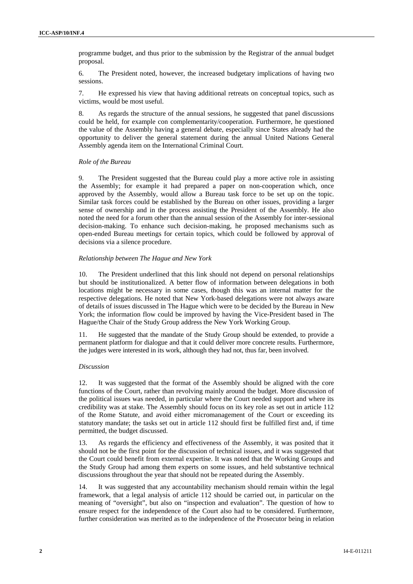programme budget, and thus prior to the submission by the Registrar of the annual budget proposal.

6. The President noted, however, the increased budgetary implications of having two sessions.

7. He expressed his view that having additional retreats on conceptual topics, such as victims, would be most useful.

8. As regards the structure of the annual sessions, he suggested that panel discussions could be held, for example con complementarity/cooperation. Furthermore, he questioned the value of the Assembly having a general debate, especially since States already had the opportunity to deliver the general statement during the annual United Nations General Assembly agenda item on the International Criminal Court.

#### *Role of the Bureau*

9. The President suggested that the Bureau could play a more active role in assisting the Assembly; for example it had prepared a paper on non-cooperation which, once approved by the Assembly, would allow a Bureau task force to be set up on the topic. Similar task forces could be established by the Bureau on other issues, providing a larger sense of ownership and in the process assisting the President of the Assembly. He also noted the need for a forum other than the annual session of the Assembly for inter-sessional decision-making. To enhance such decision-making, he proposed mechanisms such as open-ended Bureau meetings for certain topics, which could be followed by approval of decisions via a silence procedure.

#### *Relationship between The Hague and New York*

10. The President underlined that this link should not depend on personal relationships but should be institutionalized. A better flow of information between delegations in both locations might be necessary in some cases, though this was an internal matter for the respective delegations. He noted that New York-based delegations were not always aware of details of issues discussed in The Hague which were to be decided by the Bureau in New York; the information flow could be improved by having the Vice-President based in The Hague/the Chair of the Study Group address the New York Working Group.

11. He suggested that the mandate of the Study Group should be extended, to provide a permanent platform for dialogue and that it could deliver more concrete results. Furthermore, the judges were interested in its work, although they had not, thus far, been involved.

#### *Discussion*

12. It was suggested that the format of the Assembly should be aligned with the core functions of the Court, rather than revolving mainly around the budget. More discussion of the political issues was needed, in particular where the Court needed support and where its credibility was at stake. The Assembly should focus on its key role as set out in article 112 of the Rome Statute, and avoid either micromanagement of the Court or exceeding its statutory mandate; the tasks set out in article 112 should first be fulfilled first and, if time permitted, the budget discussed.

13. As regards the efficiency and effectiveness of the Assembly, it was posited that it should not be the first point for the discussion of technical issues, and it was suggested that the Court could benefit from external expertise. It was noted that the Working Groups and the Study Group had among them experts on some issues, and held substantive technical discussions throughout the year that should not be repeated during the Assembly.

14. It was suggested that any accountability mechanism should remain within the legal framework, that a legal analysis of article 112 should be carried out, in particular on the meaning of "oversight", but also on "inspection and evaluation". The question of how to ensure respect for the independence of the Court also had to be considered. Furthermore, further consideration was merited as to the independence of the Prosecutor being in relation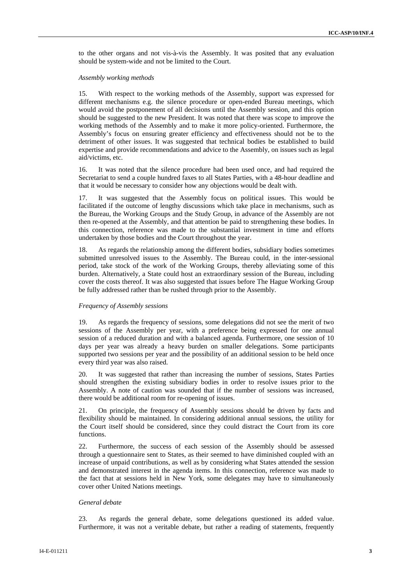to the other organs and not vis-à-vis the Assembly. It was posited that any evaluation should be system-wide and not be limited to the Court.

#### *Assembly working methods*

15. With respect to the working methods of the Assembly, support was expressed for different mechanisms e.g. the silence procedure or open-ended Bureau meetings, which would avoid the postponement of all decisions until the Assembly session, and this option should be suggested to the new President. It was noted that there was scope to improve the working methods of the Assembly and to make it more policy-oriented. Furthermore, the Assembly's focus on ensuring greater efficiency and effectiveness should not be to the detriment of other issues. It was suggested that technical bodies be established to build expertise and provide recommendations and advice to the Assembly, on issues such as legal aid/victims, etc.

16. It was noted that the silence procedure had been used once, and had required the Secretariat to send a couple hundred faxes to all States Parties, with a 48-hour deadline and that it would be necessary to consider how any objections would be dealt with.

17. It was suggested that the Assembly focus on political issues. This would be facilitated if the outcome of lengthy discussions which take place in mechanisms, such as the Bureau, the Working Groups and the Study Group, in advance of the Assembly are not then re-opened at the Assembly, and that attention be paid to strengthening these bodies. In this connection, reference was made to the substantial investment in time and efforts undertaken by those bodies and the Court throughout the year.

18. As regards the relationship among the different bodies, subsidiary bodies sometimes submitted unresolved issues to the Assembly. The Bureau could, in the inter-sessional period, take stock of the work of the Working Groups, thereby alleviating some of this burden. Alternatively, a State could host an extraordinary session of the Bureau, including cover the costs thereof. It was also suggested that issues before The Hague Working Group be fully addressed rather than be rushed through prior to the Assembly.

#### *Frequency of Assembly sessions*

19. As regards the frequency of sessions, some delegations did not see the merit of two sessions of the Assembly per year, with a preference being expressed for one annual session of a reduced duration and with a balanced agenda. Furthermore, one session of 10 days per year was already a heavy burden on smaller delegations. Some participants supported two sessions per year and the possibility of an additional session to be held once every third year was also raised.

20. It was suggested that rather than increasing the number of sessions, States Parties should strengthen the existing subsidiary bodies in order to resolve issues prior to the Assembly. A note of caution was sounded that if the number of sessions was increased, there would be additional room for re-opening of issues.

21. On principle, the frequency of Assembly sessions should be driven by facts and flexibility should be maintained. In considering additional annual sessions, the utility for the Court itself should be considered, since they could distract the Court from its core functions.

22. Furthermore, the success of each session of the Assembly should be assessed through a questionnaire sent to States, as their seemed to have diminished coupled with an increase of unpaid contributions, as well as by considering what States attended the session and demonstrated interest in the agenda items. In this connection, reference was made to the fact that at sessions held in New York, some delegates may have to simultaneously cover other United Nations meetings.

#### *General debate*

23. As regards the general debate, some delegations questioned its added value. Furthermore, it was not a veritable debate, but rather a reading of statements, frequently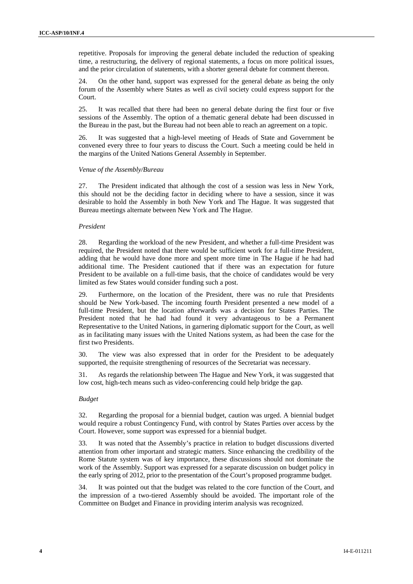repetitive. Proposals for improving the general debate included the reduction of speaking time, a restructuring, the delivery of regional statements, a focus on more political issues, and the prior circulation of statements, with a shorter general debate for comment thereon.

24. On the other hand, support was expressed for the general debate as being the only forum of the Assembly where States as well as civil society could express support for the Court.

25. It was recalled that there had been no general debate during the first four or five sessions of the Assembly. The option of a thematic general debate had been discussed in the Bureau in the past, but the Bureau had not been able to reach an agreement on a topic.

26. It was suggested that a high-level meeting of Heads of State and Government be convened every three to four years to discuss the Court. Such a meeting could be held in the margins of the United Nations General Assembly in September.

#### *Venue of the Assembly/Bureau*

27. The President indicated that although the cost of a session was less in New York, this should not be the deciding factor in deciding where to have a session, since it was desirable to hold the Assembly in both New York and The Hague. It was suggested that Bureau meetings alternate between New York and The Hague.

## *President*

28. Regarding the workload of the new President, and whether a full-time President was required, the President noted that there would be sufficient work for a full-time President, adding that he would have done more and spent more time in The Hague if he had had additional time. The President cautioned that if there was an expectation for future President to be available on a full-time basis, that the choice of candidates would be very limited as few States would consider funding such a post.

29. Furthermore, on the location of the President, there was no rule that Presidents should be New York-based. The incoming fourth President presented a new model of a full-time President, but the location afterwards was a decision for States Parties. The President noted that he had had found it very advantageous to be a Permanent Representative to the United Nations, in garnering diplomatic support for the Court, as well as in facilitating many issues with the United Nations system, as had been the case for the first two Presidents.

30. The view was also expressed that in order for the President to be adequately supported, the requisite strengthening of resources of the Secretariat was necessary.

31. As regards the relationship between The Hague and New York, it was suggested that low cost, high-tech means such as video-conferencing could help bridge the gap.

#### *Budget*

32. Regarding the proposal for a biennial budget, caution was urged. A biennial budget would require a robust Contingency Fund, with control by States Parties over access by the Court. However, some support was expressed for a biennial budget.

33. It was noted that the Assembly's practice in relation to budget discussions diverted attention from other important and strategic matters. Since enhancing the credibility of the Rome Statute system was of key importance, these discussions should not dominate the work of the Assembly. Support was expressed for a separate discussion on budget policy in the early spring of 2012, prior to the presentation of the Court's proposed programme budget.

34. It was pointed out that the budget was related to the core function of the Court, and the impression of a two-tiered Assembly should be avoided. The important role of the Committee on Budget and Finance in providing interim analysis was recognized.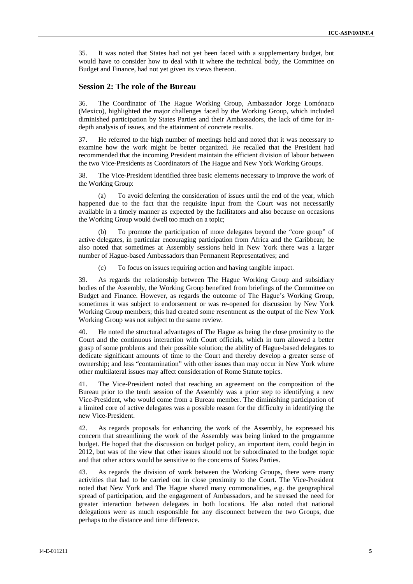35. It was noted that States had not yet been faced with a supplementary budget, but would have to consider how to deal with it where the technical body, the Committee on Budget and Finance, had not yet given its views thereon.

### **Session 2: The role of the Bureau**

36. The Coordinator of The Hague Working Group, Ambassador Jorge Lomónaco (Mexico), highlighted the major challenges faced by the Working Group, which included diminished participation by States Parties and their Ambassadors, the lack of time for indepth analysis of issues, and the attainment of concrete results.

37. He referred to the high number of meetings held and noted that it was necessary to examine how the work might be better organized. He recalled that the President had recommended that the incoming President maintain the efficient division of labour between the two Vice-Presidents as Coordinators of The Hague and New York Working Groups.

38. The Vice-President identified three basic elements necessary to improve the work of the Working Group:

(a) To avoid deferring the consideration of issues until the end of the year, which happened due to the fact that the requisite input from the Court was not necessarily available in a timely manner as expected by the facilitators and also because on occasions the Working Group would dwell too much on a topic;

To promote the participation of more delegates beyond the "core group" of active delegates, in particular encouraging participation from Africa and the Caribbean; he also noted that sometimes at Assembly sessions held in New York there was a larger number of Hague-based Ambassadors than Permanent Representatives; and

(c) To focus on issues requiring action and having tangible impact.

39. As regards the relationship between The Hague Working Group and subsidiary bodies of the Assembly, the Working Group benefited from briefings of the Committee on Budget and Finance. However, as regards the outcome of The Hague's Working Group, sometimes it was subject to endorsement or was re-opened for discussion by New York Working Group members; this had created some resentment as the output of the New York Working Group was not subject to the same review.

40. He noted the structural advantages of The Hague as being the close proximity to the Court and the continuous interaction with Court officials, which in turn allowed a better grasp of some problems and their possible solution; the ability of Hague-based delegates to dedicate significant amounts of time to the Court and thereby develop a greater sense of ownership; and less "contamination" with other issues than may occur in New York where other multilateral issues may affect consideration of Rome Statute topics.

41. The Vice-President noted that reaching an agreement on the composition of the Bureau prior to the tenth session of the Assembly was a prior step to identifying a new Vice-President, who would come from a Bureau member. The diminishing participation of a limited core of active delegates was a possible reason for the difficulty in identifying the new Vice-President.

42. As regards proposals for enhancing the work of the Assembly, he expressed his concern that streamlining the work of the Assembly was being linked to the programme budget. He hoped that the discussion on budget policy, an important item, could begin in 2012, but was of the view that other issues should not be subordinated to the budget topic and that other actors would be sensitive to the concerns of States Parties.

43. As regards the division of work between the Working Groups, there were many activities that had to be carried out in close proximity to the Court. The Vice-President noted that New York and The Hague shared many commonalities, e.g. the geographical spread of participation, and the engagement of Ambassadors, and he stressed the need for greater interaction between delegates in both locations. He also noted that national delegations were as much responsible for any disconnect between the two Groups, due perhaps to the distance and time difference.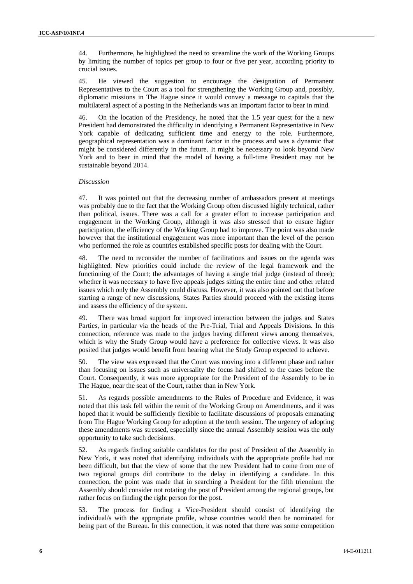44. Furthermore, he highlighted the need to streamline the work of the Working Groups by limiting the number of topics per group to four or five per year, according priority to crucial issues.

45. He viewed the suggestion to encourage the designation of Permanent Representatives to the Court as a tool for strengthening the Working Group and, possibly, diplomatic missions in The Hague since it would convey a message to capitals that the multilateral aspect of a posting in the Netherlands was an important factor to bear in mind.

46. On the location of the Presidency, he noted that the 1.5 year quest for the a new President had demonstrated the difficulty in identifying a Permanent Representative in New York capable of dedicating sufficient time and energy to the role. Furthermore, geographical representation was a dominant factor in the process and was a dynamic that might be considered differently in the future. It might be necessary to look beyond New York and to bear in mind that the model of having a full-time President may not be sustainable beyond 2014.

### *Discussion*

47. It was pointed out that the decreasing number of ambassadors present at meetings was probably due to the fact that the Working Group often discussed highly technical, rather than political, issues. There was a call for a greater effort to increase participation and engagement in the Working Group, although it was also stressed that to ensure higher participation, the efficiency of the Working Group had to improve. The point was also made however that the institutional engagement was more important than the level of the person who performed the role as countries established specific posts for dealing with the Court.

48. The need to reconsider the number of facilitations and issues on the agenda was highlighted. New priorities could include the review of the legal framework and the functioning of the Court; the advantages of having a single trial judge (instead of three); whether it was necessary to have five appeals judges sitting the entire time and other related issues which only the Assembly could discuss. However, it was also pointed out that before starting a range of new discussions, States Parties should proceed with the existing items and assess the efficiency of the system.

49. There was broad support for improved interaction between the judges and States Parties, in particular via the heads of the Pre-Trial, Trial and Appeals Divisions. In this connection, reference was made to the judges having different views among themselves, which is why the Study Group would have a preference for collective views. It was also posited that judges would benefit from hearing what the Study Group expected to achieve.

50. The view was expressed that the Court was moving into a different phase and rather than focusing on issues such as universality the focus had shifted to the cases before the Court. Consequently, it was more appropriate for the President of the Assembly to be in The Hague, near the seat of the Court, rather than in New York.

51. As regards possible amendments to the Rules of Procedure and Evidence, it was noted that this task fell within the remit of the Working Group on Amendments, and it was hoped that it would be sufficiently flexible to facilitate discussions of proposals emanating from The Hague Working Group for adoption at the tenth session. The urgency of adopting these amendments was stressed, especially since the annual Assembly session was the only opportunity to take such decisions.

52. As regards finding suitable candidates for the post of President of the Assembly in New York, it was noted that identifying individuals with the appropriate profile had not been difficult, but that the view of some that the new President had to come from one of two regional groups did contribute to the delay in identifying a candidate. In this connection, the point was made that in searching a President for the fifth triennium the Assembly should consider not rotating the post of President among the regional groups, but rather focus on finding the right person for the post.

53. The process for finding a Vice-President should consist of identifying the individual/s with the appropriate profile, whose countries would then be nominated for being part of the Bureau. In this connection, it was noted that there was some competition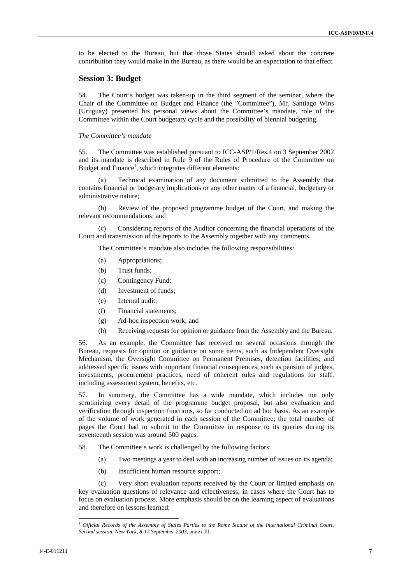to be elected to the Bureau, but that those States should asked about the concrete contribution they would make in the Bureau, as there would be an expectation to that effect.

## **Session 3: Budget**

54. The Court's budget was taken-up in the third segment of the seminar, where the Chair of the Committee on Budget and Finance (the "Committee"), Mr. Santiago Wins (Uruguay) presented his personal views about the Committee's mandate, role of the Committee within the Court budgetary cycle and the possibility of biennial budgeting.

#### *The Committee's mandate*

55. The Committee was established pursuant to ICC-ASP/1/Res.4 on 3 September 2002 and its mandate is described in Rule 9 of the Rules of Procedure of the Committee on Budget and Finance<sup>1</sup>, which integrates different elements:

(a) Technical examination of any document submitted to the Assembly that contains financial or budgetary implications or any other matter of a financial, budgetary or administrative nature;

(b) Review of the proposed programme budget of the Court, and making the relevant recommendations; and

(c) Considering reports of the Auditor concerning the financial operations of the Court and transmission of the reports to the Assembly together with any comments.

The Committee's mandate also includes the following responsibilities:

- (a) Appropriations;
- (b) Trust funds;
- (c) Contingency Fund;
- (d) Investment of funds;
- (e) Internal audit;
- (f) Financial statements;
- (g) Ad-hoc inspection work; and
- (h) Receiving requests for opinion or guidance from the Assembly and the Bureau.

56. As an example, the Committee has received on several occasions through the Bureau, requests for opinion or guidance on some items, such as Independent Oversight Mechanism, the Oversight Committee on Permanent Premises, detention facilities; and addressed specific issues with important financial consequences, such as pension of judges, investments, procurement practices, need of coherent rules and regulations for staff, including assessment system, benefits, etc.

57. In summary, the Committee has a wide mandate, which includes not only scrutinizing every detail of the programme budget proposal, but also evaluation and verification through inspection functions, so far conducted on ad hoc basis. As an example of the volume of work generated in each session of the Committee; the total number of pages the Court had to submit to the Committee in response to its queries during its seventeenth session was around 500 pages.

58. The Committee's work is challenged by the following factors:

- (a) Two meetings a year to deal with an increasing number of issues on its agenda;
- (b) Insufficient human resource support;

(c) Very short evaluation reports received by the Court or limited emphasis on key evaluation questions of relevance and effectiveness, in cases where the Court has to focus on evaluation process. More emphasis should be on the learning aspect of evaluations and therefore on lessons learned;

<sup>1</sup> *Official Records of the Assembly of States Parties to the Rome Statute of the International Criminal Court, Second session, New York, 8-12 September 2003*, annex III.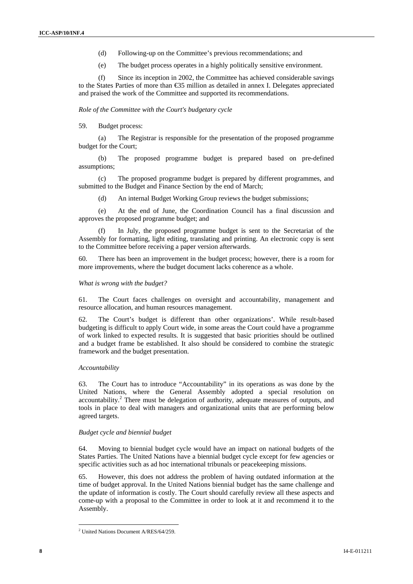- (d) Following-up on the Committee's previous recommendations; and
- (e) The budget process operates in a highly politically sensitive environment.

(f) Since its inception in 2002, the Committee has achieved considerable savings to the States Parties of more than  $\leq 5$  million as detailed in annex I. Delegates appreciated and praised the work of the Committee and supported its recommendations.

*Role of the Committee with the Court's budgetary cycle* 

## 59. Budget process:

(a) The Registrar is responsible for the presentation of the proposed programme budget for the Court;

(b) The proposed programme budget is prepared based on pre-defined assumptions;

(c) The proposed programme budget is prepared by different programmes, and submitted to the Budget and Finance Section by the end of March;

(d) An internal Budget Working Group reviews the budget submissions;

(e) At the end of June, the Coordination Council has a final discussion and approves the proposed programme budget; and

In July, the proposed programme budget is sent to the Secretariat of the Assembly for formatting, light editing, translating and printing. An electronic copy is sent to the Committee before receiving a paper version afterwards.

60. There has been an improvement in the budget process; however, there is a room for more improvements, where the budget document lacks coherence as a whole.

#### *What is wrong with the budget?*

61. The Court faces challenges on oversight and accountability, management and resource allocation, and human resources management.

62. The Court's budget is different than other organizations'. While result-based budgeting is difficult to apply Court wide, in some areas the Court could have a programme of work linked to expected results. It is suggested that basic priorities should be outlined and a budget frame be established. It also should be considered to combine the strategic framework and the budget presentation.

### *Accountability*

63. The Court has to introduce "Accountability" in its operations as was done by the United Nations, where the General Assembly adopted a special resolution on accountability.<sup>2</sup> There must be delegation of authority, adequate measures of outputs, and tools in place to deal with managers and organizational units that are performing below agreed targets.

#### *Budget cycle and biennial budget*

64. Moving to biennial budget cycle would have an impact on national budgets of the States Parties. The United Nations have a biennial budget cycle except for few agencies or specific activities such as ad hoc international tribunals or peacekeeping missions.

65. However, this does not address the problem of having outdated information at the time of budget approval. In the United Nations biennial budget has the same challenge and the update of information is costly. The Court should carefully review all these aspects and come-up with a proposal to the Committee in order to look at it and recommend it to the Assembly.

 <sup>2</sup> United Nations Document A/RES/64/259.